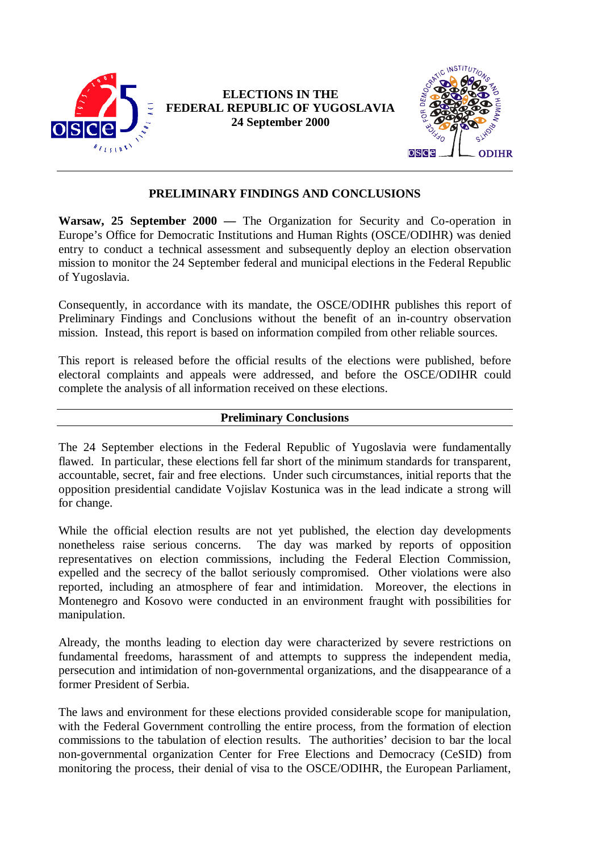

# **ELECTIONS IN THE FEDERAL REPUBLIC OF YUGOSLAVIA 24 September 2000**



# **PRELIMINARY FINDINGS AND CONCLUSIONS**

**Warsaw, 25 September 2000 —** The Organization for Security and Co-operation in Europe's Office for Democratic Institutions and Human Rights (OSCE/ODIHR) was denied entry to conduct a technical assessment and subsequently deploy an election observation mission to monitor the 24 September federal and municipal elections in the Federal Republic of Yugoslavia.

Consequently, in accordance with its mandate, the OSCE/ODIHR publishes this report of Preliminary Findings and Conclusions without the benefit of an in-country observation mission. Instead, this report is based on information compiled from other reliable sources.

This report is released before the official results of the elections were published, before electoral complaints and appeals were addressed, and before the OSCE/ODIHR could complete the analysis of all information received on these elections.

### **Preliminary Conclusions**

The 24 September elections in the Federal Republic of Yugoslavia were fundamentally flawed. In particular, these elections fell far short of the minimum standards for transparent, accountable, secret, fair and free elections. Under such circumstances, initial reports that the opposition presidential candidate Vojislav Kostunica was in the lead indicate a strong will for change.

While the official election results are not yet published, the election day developments nonetheless raise serious concerns. The day was marked by reports of opposition representatives on election commissions, including the Federal Election Commission, expelled and the secrecy of the ballot seriously compromised. Other violations were also reported, including an atmosphere of fear and intimidation. Moreover, the elections in Montenegro and Kosovo were conducted in an environment fraught with possibilities for manipulation.

Already, the months leading to election day were characterized by severe restrictions on fundamental freedoms, harassment of and attempts to suppress the independent media, persecution and intimidation of non-governmental organizations, and the disappearance of a former President of Serbia.

The laws and environment for these elections provided considerable scope for manipulation, with the Federal Government controlling the entire process, from the formation of election commissions to the tabulation of election results. The authorities' decision to bar the local non-governmental organization Center for Free Elections and Democracy (CeSID) from monitoring the process, their denial of visa to the OSCE/ODIHR, the European Parliament,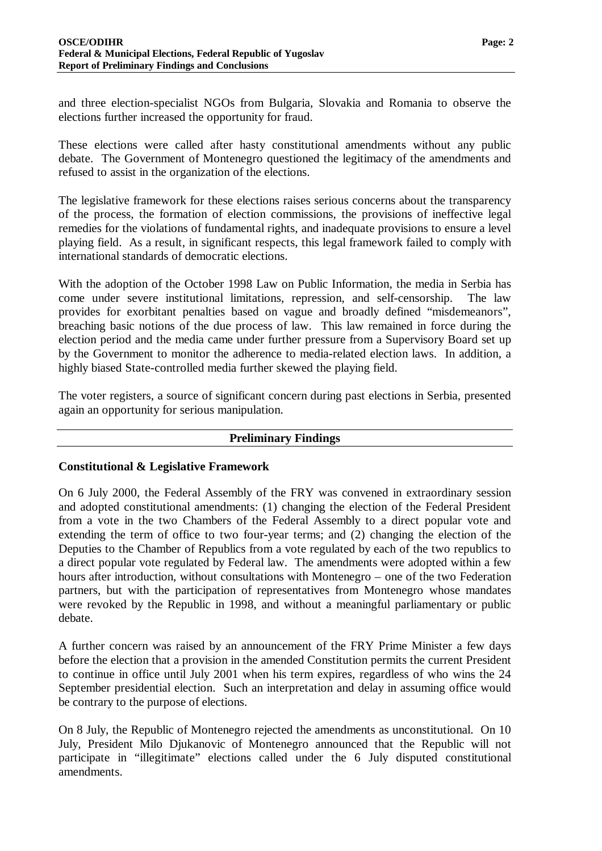and three election-specialist NGOs from Bulgaria, Slovakia and Romania to observe the elections further increased the opportunity for fraud.

These elections were called after hasty constitutional amendments without any public debate. The Government of Montenegro questioned the legitimacy of the amendments and refused to assist in the organization of the elections.

The legislative framework for these elections raises serious concerns about the transparency of the process, the formation of election commissions, the provisions of ineffective legal remedies for the violations of fundamental rights, and inadequate provisions to ensure a level playing field. As a result, in significant respects, this legal framework failed to comply with international standards of democratic elections.

With the adoption of the October 1998 Law on Public Information, the media in Serbia has come under severe institutional limitations, repression, and self-censorship. The law provides for exorbitant penalties based on vague and broadly defined "misdemeanors", breaching basic notions of the due process of law. This law remained in force during the election period and the media came under further pressure from a Supervisory Board set up by the Government to monitor the adherence to media-related election laws. In addition, a highly biased State-controlled media further skewed the playing field.

The voter registers, a source of significant concern during past elections in Serbia, presented again an opportunity for serious manipulation.

### **Preliminary Findings**

### **Constitutional & Legislative Framework**

On 6 July 2000, the Federal Assembly of the FRY was convened in extraordinary session and adopted constitutional amendments: (1) changing the election of the Federal President from a vote in the two Chambers of the Federal Assembly to a direct popular vote and extending the term of office to two four-year terms; and (2) changing the election of the Deputies to the Chamber of Republics from a vote regulated by each of the two republics to a direct popular vote regulated by Federal law. The amendments were adopted within a few hours after introduction, without consultations with Montenegro – one of the two Federation partners, but with the participation of representatives from Montenegro whose mandates were revoked by the Republic in 1998, and without a meaningful parliamentary or public debate.

A further concern was raised by an announcement of the FRY Prime Minister a few days before the election that a provision in the amended Constitution permits the current President to continue in office until July 2001 when his term expires, regardless of who wins the 24 September presidential election. Such an interpretation and delay in assuming office would be contrary to the purpose of elections.

On 8 July, the Republic of Montenegro rejected the amendments as unconstitutional. On 10 July, President Milo Djukanovic of Montenegro announced that the Republic will not participate in "illegitimate" elections called under the 6 July disputed constitutional amendments.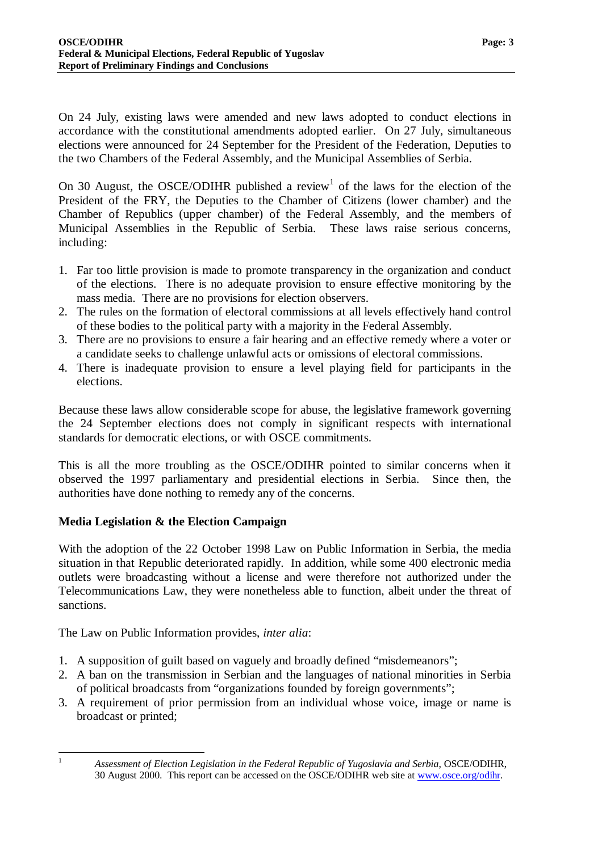On 24 July, existing laws were amended and new laws adopted to conduct elections in accordance with the constitutional amendments adopted earlier. On 27 July, simultaneous elections were announced for 24 September for the President of the Federation, Deputies to the two Chambers of the Federal Assembly, and the Municipal Assemblies of Serbia.

On 30 August, the OSCE/ODIHR published a review<sup>1</sup> of the laws for the election of the President of the FRY, the Deputies to the Chamber of Citizens (lower chamber) and the Chamber of Republics (upper chamber) of the Federal Assembly, and the members of Municipal Assemblies in the Republic of Serbia. These laws raise serious concerns, including:

- 1. Far too little provision is made to promote transparency in the organization and conduct of the elections. There is no adequate provision to ensure effective monitoring by the mass media. There are no provisions for election observers.
- 2. The rules on the formation of electoral commissions at all levels effectively hand control of these bodies to the political party with a majority in the Federal Assembly.
- 3. There are no provisions to ensure a fair hearing and an effective remedy where a voter or a candidate seeks to challenge unlawful acts or omissions of electoral commissions.
- 4. There is inadequate provision to ensure a level playing field for participants in the elections.

Because these laws allow considerable scope for abuse, the legislative framework governing the 24 September elections does not comply in significant respects with international standards for democratic elections, or with OSCE commitments.

This is all the more troubling as the OSCE/ODIHR pointed to similar concerns when it observed the 1997 parliamentary and presidential elections in Serbia. Since then, the authorities have done nothing to remedy any of the concerns.

## **Media Legislation & the Election Campaign**

With the adoption of the 22 October 1998 Law on Public Information in Serbia, the media situation in that Republic deteriorated rapidly. In addition, while some 400 electronic media outlets were broadcasting without a license and were therefore not authorized under the Telecommunications Law, they were nonetheless able to function, albeit under the threat of sanctions.

The Law on Public Information provides, *inter alia*:

- 1. A supposition of guilt based on vaguely and broadly defined "misdemeanors";
- 2. A ban on the transmission in Serbian and the languages of national minorities in Serbia of political broadcasts from "organizations founded by foreign governments";
- 3. A requirement of prior permission from an individual whose voice, image or name is broadcast or printed;

 $\mathbf{1}$ 

<sup>1</sup> *Assessment of Election Legislation in the Federal Republic of Yugoslavia and Serbia*, OSCE/ODIHR, 30 August 2000. This report can be accessed on the OSCE/ODIHR web site at www.osce.org/odihr.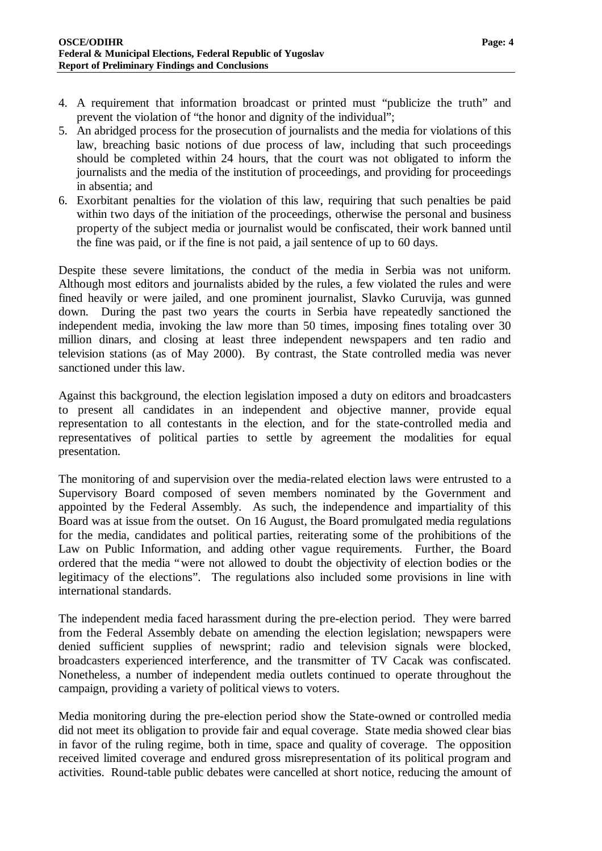- 4. A requirement that information broadcast or printed must "publicize the truth" and prevent the violation of "the honor and dignity of the individual";
- 5. An abridged process for the prosecution of journalists and the media for violations of this law, breaching basic notions of due process of law, including that such proceedings should be completed within 24 hours, that the court was not obligated to inform the journalists and the media of the institution of proceedings, and providing for proceedings in absentia; and
- 6. Exorbitant penalties for the violation of this law, requiring that such penalties be paid within two days of the initiation of the proceedings, otherwise the personal and business property of the subject media or journalist would be confiscated, their work banned until the fine was paid, or if the fine is not paid, a jail sentence of up to 60 days.

Despite these severe limitations, the conduct of the media in Serbia was not uniform. Although most editors and journalists abided by the rules, a few violated the rules and were fined heavily or were jailed, and one prominent journalist, Slavko Curuvija, was gunned down. During the past two years the courts in Serbia have repeatedly sanctioned the independent media, invoking the law more than 50 times, imposing fines totaling over 30 million dinars, and closing at least three independent newspapers and ten radio and television stations (as of May 2000). By contrast, the State controlled media was never sanctioned under this law.

Against this background, the election legislation imposed a duty on editors and broadcasters to present all candidates in an independent and objective manner, provide equal representation to all contestants in the election, and for the state-controlled media and representatives of political parties to settle by agreement the modalities for equal presentation.

The monitoring of and supervision over the media-related election laws were entrusted to a Supervisory Board composed of seven members nominated by the Government and appointed by the Federal Assembly. As such, the independence and impartiality of this Board was at issue from the outset. On 16 August, the Board promulgated media regulations for the media, candidates and political parties, reiterating some of the prohibitions of the Law on Public Information, and adding other vague requirements. Further, the Board ordered that the media "were not allowed to doubt the objectivity of election bodies or the legitimacy of the elections". The regulations also included some provisions in line with international standards.

The independent media faced harassment during the pre-election period. They were barred from the Federal Assembly debate on amending the election legislation; newspapers were denied sufficient supplies of newsprint; radio and television signals were blocked, broadcasters experienced interference, and the transmitter of TV Cacak was confiscated. Nonetheless, a number of independent media outlets continued to operate throughout the campaign, providing a variety of political views to voters.

Media monitoring during the pre-election period show the State-owned or controlled media did not meet its obligation to provide fair and equal coverage. State media showed clear bias in favor of the ruling regime, both in time, space and quality of coverage. The opposition received limited coverage and endured gross misrepresentation of its political program and activities. Round-table public debates were cancelled at short notice, reducing the amount of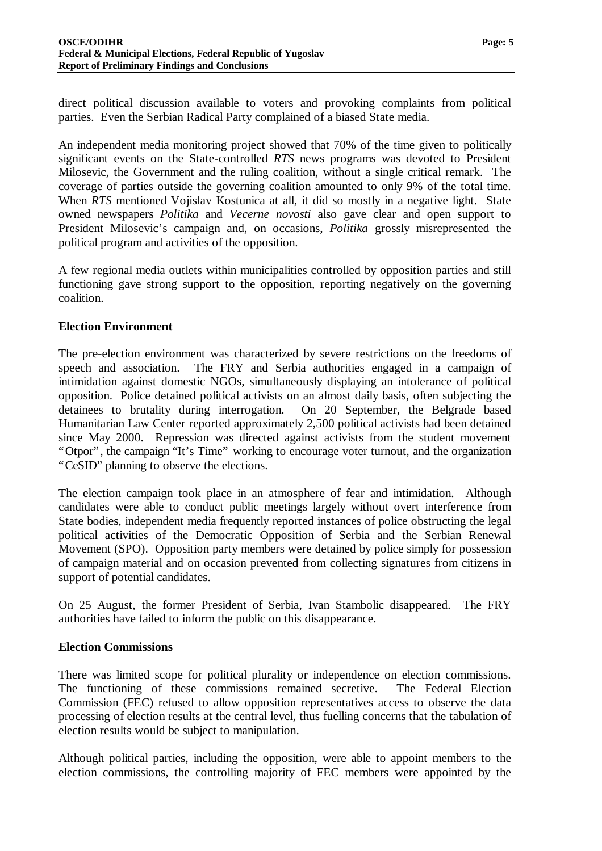direct political discussion available to voters and provoking complaints from political parties. Even the Serbian Radical Party complained of a biased State media.

An independent media monitoring project showed that 70% of the time given to politically significant events on the State-controlled *RTS* news programs was devoted to President Milosevic, the Government and the ruling coalition, without a single critical remark. The coverage of parties outside the governing coalition amounted to only 9% of the total time. When *RTS* mentioned Vojislav Kostunica at all, it did so mostly in a negative light. State owned newspapers *Politika* and *Vecerne novosti* also gave clear and open support to President Milosevic's campaign and, on occasions, *Politika* grossly misrepresented the political program and activities of the opposition.

A few regional media outlets within municipalities controlled by opposition parties and still functioning gave strong support to the opposition, reporting negatively on the governing coalition.

### **Election Environment**

The pre-election environment was characterized by severe restrictions on the freedoms of speech and association. The FRY and Serbia authorities engaged in a campaign of intimidation against domestic NGOs, simultaneously displaying an intolerance of political opposition. Police detained political activists on an almost daily basis, often subjecting the detainees to brutality during interrogation. On 20 September, the Belgrade based Humanitarian Law Center reported approximately 2,500 political activists had been detained since May 2000. Repression was directed against activists from the student movement "Otpor", the campaign "It's Time" working to encourage voter turnout, and the organization "CeSID" planning to observe the elections.

The election campaign took place in an atmosphere of fear and intimidation. Although candidates were able to conduct public meetings largely without overt interference from State bodies, independent media frequently reported instances of police obstructing the legal political activities of the Democratic Opposition of Serbia and the Serbian Renewal Movement (SPO). Opposition party members were detained by police simply for possession of campaign material and on occasion prevented from collecting signatures from citizens in support of potential candidates.

On 25 August, the former President of Serbia, Ivan Stambolic disappeared. The FRY authorities have failed to inform the public on this disappearance.

### **Election Commissions**

There was limited scope for political plurality or independence on election commissions. The functioning of these commissions remained secretive. The Federal Election Commission (FEC) refused to allow opposition representatives access to observe the data processing of election results at the central level, thus fuelling concerns that the tabulation of election results would be subject to manipulation.

Although political parties, including the opposition, were able to appoint members to the election commissions, the controlling majority of FEC members were appointed by the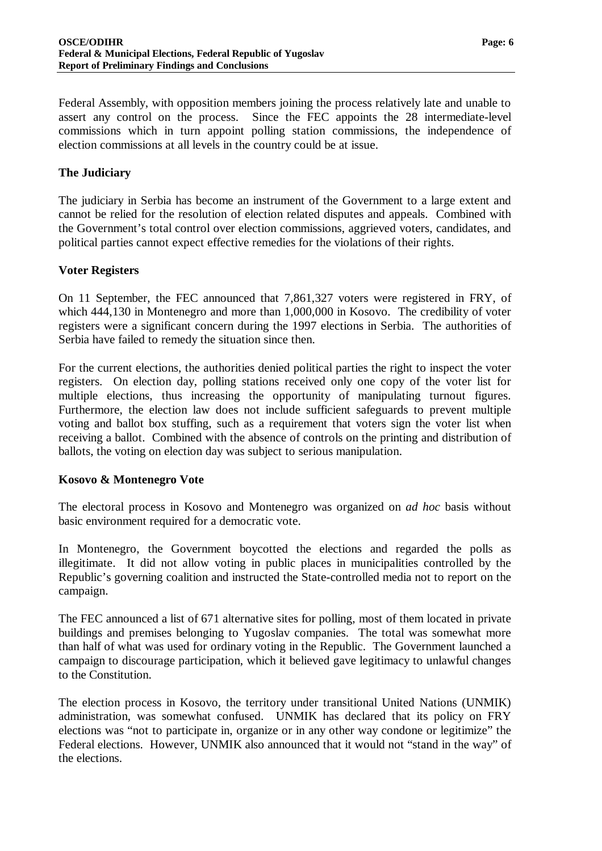Federal Assembly, with opposition members joining the process relatively late and unable to assert any control on the process. Since the FEC appoints the 28 intermediate-level commissions which in turn appoint polling station commissions, the independence of election commissions at all levels in the country could be at issue.

## **The Judiciary**

The judiciary in Serbia has become an instrument of the Government to a large extent and cannot be relied for the resolution of election related disputes and appeals. Combined with the Government's total control over election commissions, aggrieved voters, candidates, and political parties cannot expect effective remedies for the violations of their rights.

## **Voter Registers**

On 11 September, the FEC announced that 7,861,327 voters were registered in FRY, of which 444,130 in Montenegro and more than 1,000,000 in Kosovo. The credibility of voter registers were a significant concern during the 1997 elections in Serbia. The authorities of Serbia have failed to remedy the situation since then.

For the current elections, the authorities denied political parties the right to inspect the voter registers. On election day, polling stations received only one copy of the voter list for multiple elections, thus increasing the opportunity of manipulating turnout figures. Furthermore, the election law does not include sufficient safeguards to prevent multiple voting and ballot box stuffing, such as a requirement that voters sign the voter list when receiving a ballot. Combined with the absence of controls on the printing and distribution of ballots, the voting on election day was subject to serious manipulation.

### **Kosovo & Montenegro Vote**

The electoral process in Kosovo and Montenegro was organized on *ad hoc* basis without basic environment required for a democratic vote.

In Montenegro, the Government boycotted the elections and regarded the polls as illegitimate. It did not allow voting in public places in municipalities controlled by the Republic's governing coalition and instructed the State-controlled media not to report on the campaign.

The FEC announced a list of 671 alternative sites for polling, most of them located in private buildings and premises belonging to Yugoslav companies. The total was somewhat more than half of what was used for ordinary voting in the Republic. The Government launched a campaign to discourage participation, which it believed gave legitimacy to unlawful changes to the Constitution.

The election process in Kosovo, the territory under transitional United Nations (UNMIK) administration, was somewhat confused. UNMIK has declared that its policy on FRY elections was "not to participate in, organize or in any other way condone or legitimize" the Federal elections. However, UNMIK also announced that it would not "stand in the way" of the elections.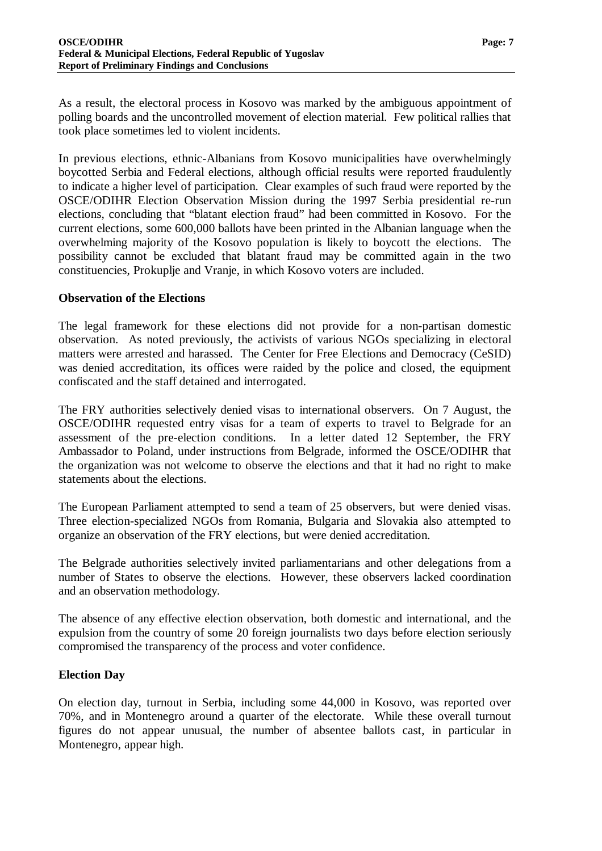As a result, the electoral process in Kosovo was marked by the ambiguous appointment of polling boards and the uncontrolled movement of election material. Few political rallies that took place sometimes led to violent incidents.

In previous elections, ethnic-Albanians from Kosovo municipalities have overwhelmingly boycotted Serbia and Federal elections, although official results were reported fraudulently to indicate a higher level of participation. Clear examples of such fraud were reported by the OSCE/ODIHR Election Observation Mission during the 1997 Serbia presidential re-run elections, concluding that "blatant election fraud" had been committed in Kosovo. For the current elections, some 600,000 ballots have been printed in the Albanian language when the overwhelming majority of the Kosovo population is likely to boycott the elections. The possibility cannot be excluded that blatant fraud may be committed again in the two constituencies, Prokuplje and Vranje, in which Kosovo voters are included.

#### **Observation of the Elections**

The legal framework for these elections did not provide for a non-partisan domestic observation. As noted previously, the activists of various NGOs specializing in electoral matters were arrested and harassed. The Center for Free Elections and Democracy (CeSID) was denied accreditation, its offices were raided by the police and closed, the equipment confiscated and the staff detained and interrogated.

The FRY authorities selectively denied visas to international observers. On 7 August, the OSCE/ODIHR requested entry visas for a team of experts to travel to Belgrade for an assessment of the pre-election conditions. In a letter dated 12 September, the FRY Ambassador to Poland, under instructions from Belgrade, informed the OSCE/ODIHR that the organization was not welcome to observe the elections and that it had no right to make statements about the elections.

The European Parliament attempted to send a team of 25 observers, but were denied visas. Three election-specialized NGOs from Romania, Bulgaria and Slovakia also attempted to organize an observation of the FRY elections, but were denied accreditation.

The Belgrade authorities selectively invited parliamentarians and other delegations from a number of States to observe the elections. However, these observers lacked coordination and an observation methodology.

The absence of any effective election observation, both domestic and international, and the expulsion from the country of some 20 foreign journalists two days before election seriously compromised the transparency of the process and voter confidence.

#### **Election Day**

On election day, turnout in Serbia, including some 44,000 in Kosovo, was reported over 70%, and in Montenegro around a quarter of the electorate. While these overall turnout figures do not appear unusual, the number of absentee ballots cast, in particular in Montenegro, appear high.